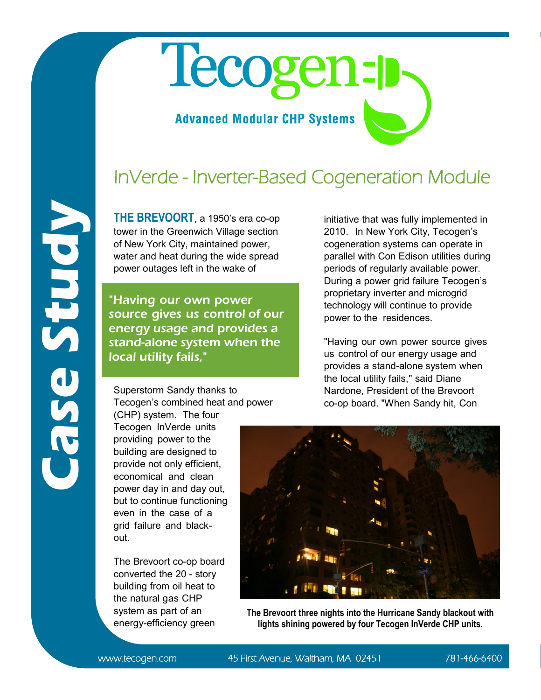## Tecogen-p

## **Advanced Modular CHP Systems**

## InVerde - Inverter-Based Cogeneration Module

**THE BREVOORT**, a 1950's era co-op tower in the Greenwich Village section of New York City, maintained power, water and heat during the wide spread power outages left in the wake of

"Having our own power source gives us control of our energy usage and provides a stand-alone system when the local utility fails,"

Superstorm Sandy thanks to Tecogen's combined heat and power initiative that was fully implemented in 2010. In New York City, Tecogen's cogeneration systems can operate in parallel with Con Edison utilities during periods of regularly available power. During a power grid failure Tecogen's proprietary inverter and microgrid technology will continue to provide power to the residences.

"Having our own power source gives us control of our energy usage and provides a stand-alone system when the local utility fails," said Diane Nardone, President of the Brevoort co-op board. "When Sandy hit, Con

(CHP) system. The four Tecogen [InVerde](http://www.tecogen.com/products-cogeneration-inv-100.htm) units providing power to the building are designed to provide not only efficient, economical and clean power day in and day out, but to continue functioning even in the case of a grid failure and blackout.

The Brevoort co-op board converted the 20 - story building from oil heat to the natural gas CHP system as part of an energy-efficiency green



**The Brevoort three nights into the Hurricane Sandy blackout with lights shining powered by four Tecogen InVerde CHP units.**